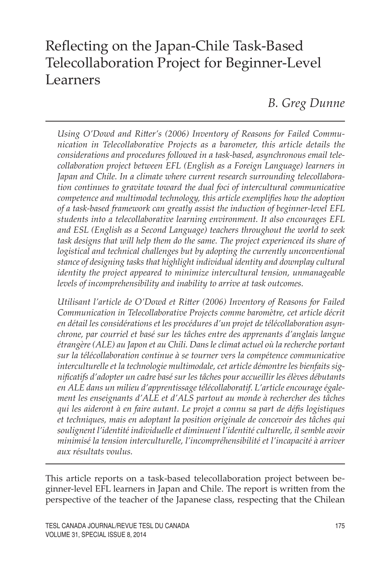# Reflecting on the Japan-Chile Task-Based Telecollaboration Project for Beginner-Level Learners

*B. Greg Dunne*

*Using O'Dowd and Ritter's (2006) Inventory of Reasons for Failed Communication in Telecollaborative Projects as a barometer, this article details the considerations and procedures followed in a task-based, asynchronous email telecollaboration project between EFL (English as a Foreign Language) learners in Japan and Chile. In a climate where current research surrounding telecollaboration continues to gravitate toward the dual foci of intercultural communicative competence and multimodal technology, this article exemplifies how the adoption of a task-based framework can greatly assist the induction of beginner-level EFL students into a telecollaborative learning environment. It also encourages EFL and ESL (English as a Second Language) teachers throughout the world to seek task designs that will help them do the same. The project experienced its share of logistical and technical challenges but by adopting the currently unconventional stance of designing tasks that highlight individual identity and downplay cultural identity the project appeared to minimize intercultural tension, unmanageable levels of incomprehensibility and inability to arrive at task outcomes.* 

*Utilisant l'article de O'Dowd et Ritter (2006) Inventory of Reasons for Failed Communication in Telecollaborative Projects comme baromètre, cet article décrit en détail les considérations et les procédures d'un projet de télécollaboration asynchrone, par courriel et basé sur les tâches entre des apprenants d'anglais langue étrangère (ALE) au Japon et au Chili. Dans le climat actuel où la recherche portant sur la télécollaboration continue à se tourner vers la compétence communicative interculturelle et la technologie multimodale, cet article démontre les bienfaits significatifs d'adopter un cadre basé sur les tâches pour accueillir les élèves débutants en ALE dans un milieu d'apprentissage télécollaboratif. L'article encourage également les enseignants d'ALE et d'ALS partout au monde à rechercher des tâches qui les aideront à en faire autant. Le projet a connu sa part de défis logistiques et techniques, mais en adoptant la position originale de concevoir des tâches qui soulignent l'identité individuelle et diminuent l'identité culturelle, il semble avoir minimisé la tension interculturelle, l'incompréhensibilité et l'incapacité à arriver aux résultats voulus.* 

This article reports on a task-based telecollaboration project between beginner-level EFL learners in Japan and Chile. The report is written from the perspective of the teacher of the Japanese class, respecting that the Chilean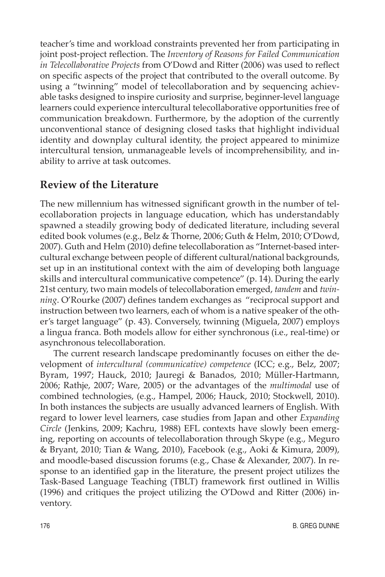teacher's time and workload constraints prevented her from participating in joint post-project reflection. The *Inventory of Reasons for Failed Communication in Telecollaborative Projects* from O'Dowd and Ritter (2006) was used to reflect on specific aspects of the project that contributed to the overall outcome. By using a "twinning" model of telecollaboration and by sequencing achievable tasks designed to inspire curiosity and surprise, beginner-level language learners could experience intercultural telecollaborative opportunities free of communication breakdown. Furthermore, by the adoption of the currently unconventional stance of designing closed tasks that highlight individual identity and downplay cultural identity, the project appeared to minimize intercultural tension, unmanageable levels of incomprehensibility, and inability to arrive at task outcomes.

# **Review of the Literature**

The new millennium has witnessed significant growth in the number of telecollaboration projects in language education, which has understandably spawned a steadily growing body of dedicated literature, including several edited book volumes (e.g., Belz & Thorne, 2006; Guth & Helm, 2010; O'Dowd, 2007). Guth and Helm (2010) define telecollaboration as "Internet-based intercultural exchange between people of different cultural/national backgrounds, set up in an institutional context with the aim of developing both language skills and intercultural communicative competence" (p. 14). During the early 21st century, two main models of telecollaboration emerged, *tandem* and *twinning*. O'Rourke (2007) defines tandem exchanges as "reciprocal support and instruction between two learners, each of whom is a native speaker of the other's target language" (p. 43). Conversely, twinning (Miguela, 2007) employs a lingua franca. Both models allow for either synchronous (i.e., real-time) or asynchronous telecollaboration.

The current research landscape predominantly focuses on either the development of *intercultural (communicative) competence* (ICC; e.g., Belz, 2007; Byram, 1997; Hauck, 2010; Jauregi & Banados, 2010; Müller-Hartmann, 2006; Rathje, 2007; Ware, 2005) or the advantages of the *multimodal* use of combined technologies, (e.g., Hampel, 2006; Hauck, 2010; Stockwell, 2010). In both instances the subjects are usually advanced learners of English. With regard to lower level learners, case studies from Japan and other *Expanding Circle* (Jenkins, 2009; Kachru, 1988) EFL contexts have slowly been emerging, reporting on accounts of telecollaboration through Skype (e.g., Meguro & Bryant, 2010; Tian & Wang, 2010), Facebook (e.g., Aoki & Kimura, 2009), and moodle-based discussion forums (e.g., Chase & Alexander, 2007). In response to an identified gap in the literature, the present project utilizes the Task-Based Language Teaching (TBLT) framework first outlined in Willis (1996) and critiques the project utilizing the O'Dowd and Ritter (2006) inventory.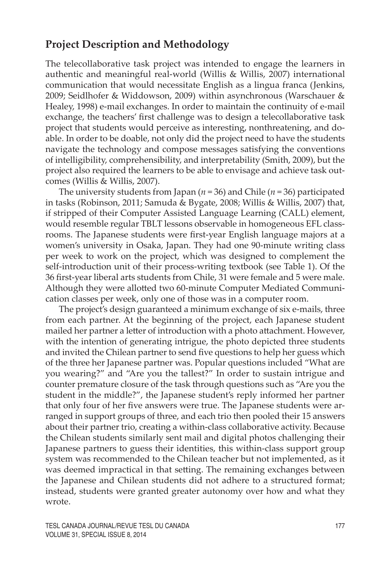### **Project Description and Methodology**

The telecollaborative task project was intended to engage the learners in authentic and meaningful real-world (Willis & Willis, 2007) international communication that would necessitate English as a lingua franca (Jenkins, 2009; Seidlhofer & Widdowson, 2009) within asynchronous (Warschauer & Healey, 1998) e-mail exchanges. In order to maintain the continuity of e-mail exchange, the teachers' first challenge was to design a telecollaborative task project that students would perceive as interesting, nonthreatening, and doable. In order to be doable, not only did the project need to have the students navigate the technology and compose messages satisfying the conventions of intelligibility, comprehensibility, and interpretability (Smith, 2009), but the project also required the learners to be able to envisage and achieve task outcomes (Willis & Willis, 2007).

The university students from Japan (*n* = 36) and Chile (*n* = 36) participated in tasks (Robinson, 2011; Samuda & Bygate, 2008; Willis & Willis, 2007) that, if stripped of their Computer Assisted Language Learning (CALL) element, would resemble regular TBLT lessons observable in homogeneous EFL classrooms. The Japanese students were first-year English language majors at a women's university in Osaka, Japan. They had one 90-minute writing class per week to work on the project, which was designed to complement the self-introduction unit of their process-writing textbook (see Table 1). Of the 36 first-year liberal arts students from Chile, 31 were female and 5 were male. Although they were allotted two 60-minute Computer Mediated Communication classes per week, only one of those was in a computer room.

The project's design guaranteed a minimum exchange of six e-mails, three from each partner. At the beginning of the project, each Japanese student mailed her partner a letter of introduction with a photo attachment. However, with the intention of generating intrigue, the photo depicted three students and invited the Chilean partner to send five questions to help her guess which of the three her Japanese partner was. Popular questions included "What are you wearing?" and "Are you the tallest?" In order to sustain intrigue and counter premature closure of the task through questions such as "Are you the student in the middle?", the Japanese student's reply informed her partner that only four of her five answers were true. The Japanese students were arranged in support groups of three, and each trio then pooled their 15 answers about their partner trio, creating a within-class collaborative activity. Because the Chilean students similarly sent mail and digital photos challenging their Japanese partners to guess their identities, this within-class support group system was recommended to the Chilean teacher but not implemented, as it was deemed impractical in that setting. The remaining exchanges between the Japanese and Chilean students did not adhere to a structured format; instead, students were granted greater autonomy over how and what they wrote.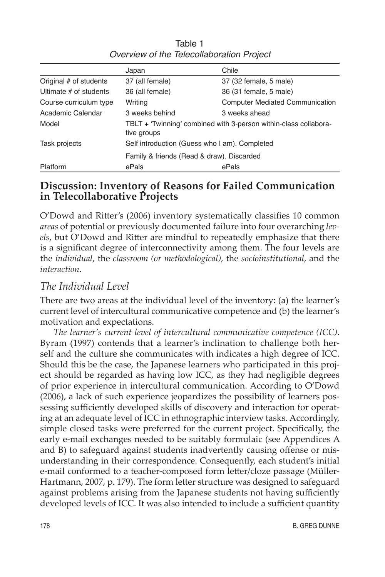|                        | Japan                                                                                      | Chile                                  |
|------------------------|--------------------------------------------------------------------------------------------|----------------------------------------|
| Original # of students | 37 (all female)                                                                            | 37 (32 female, 5 male)                 |
| Ultimate # of students | 36 (all female)                                                                            | 36 (31 female, 5 male)                 |
| Course curriculum type | Writing                                                                                    | <b>Computer Mediated Communication</b> |
| Academic Calendar      | 3 weeks behind                                                                             | 3 weeks ahead                          |
| Model                  | TBLT + 'Twinning' combined with 3-person within-class collabora-<br>tive groups            |                                        |
| Task projects          | Self introduction (Guess who I am). Completed<br>Family & friends (Read & draw). Discarded |                                        |
|                        |                                                                                            |                                        |
| <b>Platform</b>        | ePals                                                                                      | ePals                                  |

Table 1 Overview of the Telecollaboration Project

### **Discussion: Inventory of Reasons for Failed Communication in Telecollaborative Projects**

O'Dowd and Ritter's (2006) inventory systematically classifies 10 common *areas* of potential or previously documented failure into four overarching *levels*, but O'Dowd and Ritter are mindful to repeatedly emphasize that there is a significant degree of interconnectivity among them. The four levels are the *individual*, the *classroom (or methodological)*, the *socioinstitutional*, and the *interaction*.

### *The Individual Level*

There are two areas at the individual level of the inventory: (a) the learner's current level of intercultural communicative competence and (b) the learner's motivation and expectations.

*The learner's current level of intercultural communicative competence (ICC)*. Byram (1997) contends that a learner's inclination to challenge both herself and the culture she communicates with indicates a high degree of ICC. Should this be the case, the Japanese learners who participated in this project should be regarded as having low ICC, as they had negligible degrees of prior experience in intercultural communication. According to O'Dowd (2006), a lack of such experience jeopardizes the possibility of learners possessing sufficiently developed skills of discovery and interaction for operating at an adequate level of ICC in ethnographic interview tasks. Accordingly, simple closed tasks were preferred for the current project. Specifically, the early e-mail exchanges needed to be suitably formulaic (see Appendices A and B) to safeguard against students inadvertently causing offense or misunderstanding in their correspondence. Consequently, each student's initial e-mail conformed to a teacher-composed form letter/cloze passage (Müller-Hartmann, 2007, p. 179). The form letter structure was designed to safeguard against problems arising from the Japanese students not having sufficiently developed levels of ICC. It was also intended to include a sufficient quantity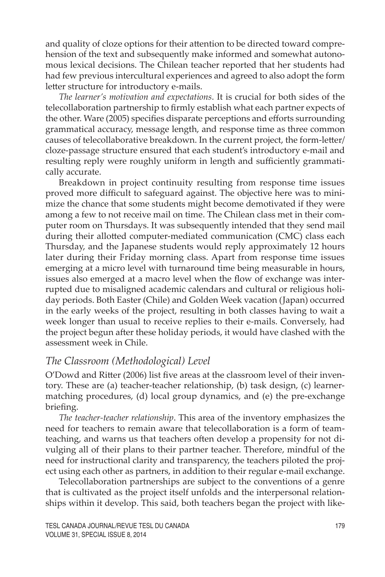and quality of cloze options for their attention to be directed toward comprehension of the text and subsequently make informed and somewhat autonomous lexical decisions. The Chilean teacher reported that her students had had few previous intercultural experiences and agreed to also adopt the form letter structure for introductory e-mails.

*The learner's motivation and expectations*. It is crucial for both sides of the telecollaboration partnership to firmly establish what each partner expects of the other. Ware (2005) specifies disparate perceptions and efforts surrounding grammatical accuracy, message length, and response time as three common causes of telecollaborative breakdown. In the current project, the form-letter/ cloze-passage structure ensured that each student's introductory e-mail and resulting reply were roughly uniform in length and sufficiently grammatically accurate.

Breakdown in project continuity resulting from response time issues proved more difficult to safeguard against. The objective here was to minimize the chance that some students might become demotivated if they were among a few to not receive mail on time. The Chilean class met in their computer room on Thursdays. It was subsequently intended that they send mail during their allotted computer-mediated communication (CMC) class each Thursday, and the Japanese students would reply approximately 12 hours later during their Friday morning class. Apart from response time issues emerging at a micro level with turnaround time being measurable in hours, issues also emerged at a macro level when the flow of exchange was interrupted due to misaligned academic calendars and cultural or religious holiday periods. Both Easter (Chile) and Golden Week vacation (Japan) occurred in the early weeks of the project, resulting in both classes having to wait a week longer than usual to receive replies to their e-mails. Conversely, had the project begun after these holiday periods, it would have clashed with the assessment week in Chile.

### *The Classroom (Methodological) Level*

O'Dowd and Ritter (2006) list five areas at the classroom level of their inventory. These are (a) teacher-teacher relationship, (b) task design, (c) learnermatching procedures, (d) local group dynamics, and (e) the pre-exchange briefing.

*The teacher-teacher relationship*. This area of the inventory emphasizes the need for teachers to remain aware that telecollaboration is a form of teamteaching, and warns us that teachers often develop a propensity for not divulging all of their plans to their partner teacher. Therefore, mindful of the need for instructional clarity and transparency, the teachers piloted the project using each other as partners, in addition to their regular e-mail exchange.

Telecollaboration partnerships are subject to the conventions of a genre that is cultivated as the project itself unfolds and the interpersonal relationships within it develop. This said, both teachers began the project with like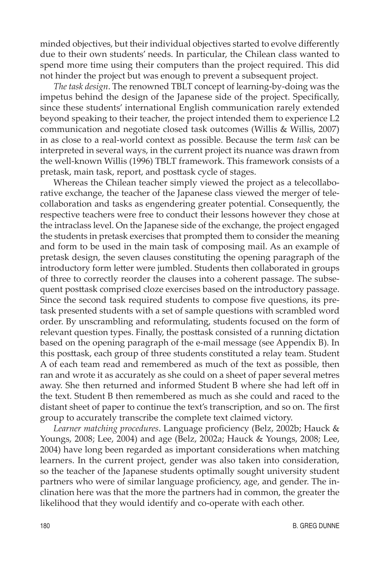minded objectives, but their individual objectives started to evolve differently due to their own students' needs. In particular, the Chilean class wanted to spend more time using their computers than the project required. This did not hinder the project but was enough to prevent a subsequent project.

*The task design*. The renowned TBLT concept of learning-by-doing was the impetus behind the design of the Japanese side of the project. Specifically, since these students' international English communication rarely extended beyond speaking to their teacher, the project intended them to experience L2 communication and negotiate closed task outcomes (Willis & Willis, 2007) in as close to a real-world context as possible. Because the term *task* can be interpreted in several ways, in the current project its nuance was drawn from the well-known Willis (1996) TBLT framework. This framework consists of a pretask, main task, report, and posttask cycle of stages.

Whereas the Chilean teacher simply viewed the project as a telecollaborative exchange, the teacher of the Japanese class viewed the merger of telecollaboration and tasks as engendering greater potential. Consequently, the respective teachers were free to conduct their lessons however they chose at the intraclass level. On the Japanese side of the exchange, the project engaged the students in pretask exercises that prompted them to consider the meaning and form to be used in the main task of composing mail. As an example of pretask design, the seven clauses constituting the opening paragraph of the introductory form letter were jumbled. Students then collaborated in groups of three to correctly reorder the clauses into a coherent passage. The subsequent posttask comprised cloze exercises based on the introductory passage. Since the second task required students to compose five questions, its pretask presented students with a set of sample questions with scrambled word order. By unscrambling and reformulating, students focused on the form of relevant question types. Finally, the posttask consisted of a running dictation based on the opening paragraph of the e-mail message (see Appendix B). In this posttask, each group of three students constituted a relay team. Student A of each team read and remembered as much of the text as possible, then ran and wrote it as accurately as she could on a sheet of paper several metres away. She then returned and informed Student B where she had left off in the text. Student B then remembered as much as she could and raced to the distant sheet of paper to continue the text's transcription, and so on. The first group to accurately transcribe the complete text claimed victory.

*Learner matching procedures*. Language proficiency (Belz, 2002b; Hauck & Youngs, 2008; Lee, 2004) and age (Belz, 2002a; Hauck & Youngs, 2008; Lee, 2004) have long been regarded as important considerations when matching learners. In the current project, gender was also taken into consideration, so the teacher of the Japanese students optimally sought university student partners who were of similar language proficiency, age, and gender. The inclination here was that the more the partners had in common, the greater the likelihood that they would identify and co-operate with each other.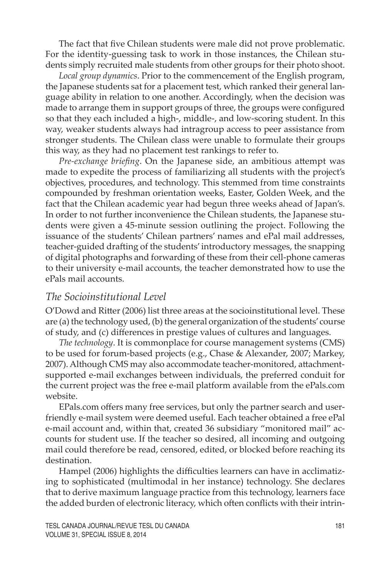The fact that five Chilean students were male did not prove problematic. For the identity-guessing task to work in those instances, the Chilean students simply recruited male students from other groups for their photo shoot.

*Local group dynamics*. Prior to the commencement of the English program, the Japanese students sat for a placement test, which ranked their general language ability in relation to one another. Accordingly, when the decision was made to arrange them in support groups of three, the groups were configured so that they each included a high-, middle-, and low-scoring student. In this way, weaker students always had intragroup access to peer assistance from stronger students. The Chilean class were unable to formulate their groups this way, as they had no placement test rankings to refer to.

*Pre-exchange briefing*. On the Japanese side, an ambitious attempt was made to expedite the process of familiarizing all students with the project's objectives, procedures, and technology. This stemmed from time constraints compounded by freshman orientation weeks, Easter, Golden Week, and the fact that the Chilean academic year had begun three weeks ahead of Japan's. In order to not further inconvenience the Chilean students, the Japanese students were given a 45-minute session outlining the project. Following the issuance of the students' Chilean partners' names and ePal mail addresses, teacher-guided drafting of the students' introductory messages, the snapping of digital photographs and forwarding of these from their cell-phone cameras to their university e-mail accounts, the teacher demonstrated how to use the ePals mail accounts.

### *The Socioinstitutional Level*

O'Dowd and Ritter (2006) list three areas at the socioinstitutional level. These are (a) the technology used, (b) the general organization of the students' course of study, and (c) differences in prestige values of cultures and languages.

*The technology*. It is commonplace for course management systems (CMS) to be used for forum-based projects (e.g., Chase & Alexander, 2007; Markey, 2007). Although CMS may also accommodate teacher-monitored, attachmentsupported e-mail exchanges between individuals, the preferred conduit for the current project was the free e-mail platform available from the ePals.com website.

EPals.com offers many free services, but only the partner search and userfriendly e-mail system were deemed useful. Each teacher obtained a free ePal e-mail account and, within that, created 36 subsidiary "monitored mail" accounts for student use. If the teacher so desired, all incoming and outgoing mail could therefore be read, censored, edited, or blocked before reaching its destination.

Hampel (2006) highlights the difficulties learners can have in acclimatizing to sophisticated (multimodal in her instance) technology. She declares that to derive maximum language practice from this technology, learners face the added burden of electronic literacy, which often conflicts with their intrin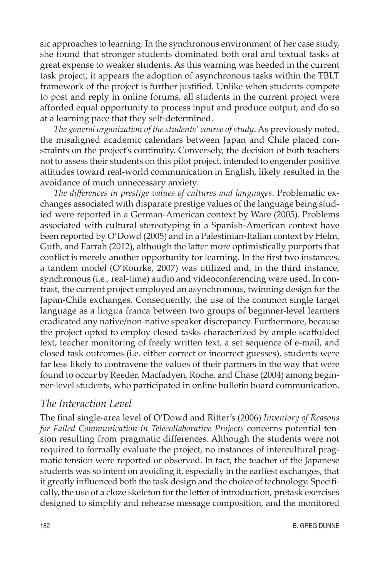sic approaches to learning. In the synchronous environment of her case study, she found that stronger students dominated both oral and textual tasks at great expense to weaker students. As this warning was heeded in the current task project, it appears the adoption of asynchronous tasks within the TBLT framework of the project is further justified. Unlike when students compete to post and reply in online forums, all students in the current project were afforded equal opportunity to process input and produce output, and do so at a learning pace that they self-determined.

*The general organization of the students' course of study*. As previously noted, the misaligned academic calendars between Japan and Chile placed constraints on the project's continuity. Conversely, the decision of both teachers not to assess their students on this pilot project, intended to engender positive attitudes toward real-world communication in English, likely resulted in the avoidance of much unnecessary anxiety.

*The differences in prestige values of cultures and languages*. Problematic exchanges associated with disparate prestige values of the language being studied were reported in a German-American context by Ware (2005). Problems associated with cultural stereotyping in a Spanish-American context have been reported by O'Dowd (2005) and in a Palestinian-Italian context by Helm, Guth, and Farrah (2012), although the latter more optimistically purports that conflict is merely another opportunity for learning. In the first two instances, a tandem model (O'Rourke, 2007) was utilized and, in the third instance, synchronous (i.e., real-time) audio and videoconferencing were used. In contrast, the current project employed an asynchronous, twinning design for the Japan-Chile exchanges. Consequently, the use of the common single target language as a lingua franca between two groups of beginner-level learners eradicated any native/non-native speaker discrepancy. Furthermore, because the project opted to employ closed tasks characterized by ample scaffolded text, teacher monitoring of freely written text, a set sequence of e-mail, and closed task outcomes (i.e. either correct or incorrect guesses), students were far less likely to contravene the values of their partners in the way that were found to occur by Reeder, Macfadyen, Roche, and Chase (2004) among beginner-level students, who participated in online bulletin board communication.

#### *The Interaction Level*

The final single-area level of O'Dowd and Ritter's (2006) *Inventory of Reasons for Failed Communication in Telecollaborative Projects* concerns potential tension resulting from pragmatic differences. Although the students were not required to formally evaluate the project, no instances of intercultural pragmatic tension were reported or observed. In fact, the teacher of the Japanese students was so intent on avoiding it, especially in the earliest exchanges, that it greatly influenced both the task design and the choice of technology. Specifically, the use of a cloze skeleton for the letter of introduction, pretask exercises designed to simplify and rehearse message composition, and the monitored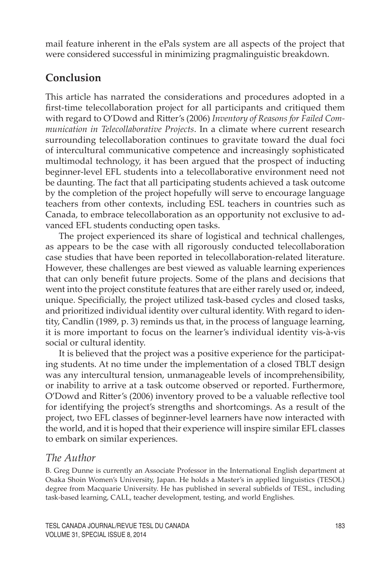mail feature inherent in the ePals system are all aspects of the project that were considered successful in minimizing pragmalinguistic breakdown.

# **Conclusion**

This article has narrated the considerations and procedures adopted in a first-time telecollaboration project for all participants and critiqued them with regard to O'Dowd and Ritter's (2006) *Inventory of Reasons for Failed Communication in Telecollaborative Projects*. In a climate where current research surrounding telecollaboration continues to gravitate toward the dual foci of intercultural communicative competence and increasingly sophisticated multimodal technology, it has been argued that the prospect of inducting beginner-level EFL students into a telecollaborative environment need not be daunting. The fact that all participating students achieved a task outcome by the completion of the project hopefully will serve to encourage language teachers from other contexts, including ESL teachers in countries such as Canada, to embrace telecollaboration as an opportunity not exclusive to advanced EFL students conducting open tasks.

The project experienced its share of logistical and technical challenges, as appears to be the case with all rigorously conducted telecollaboration case studies that have been reported in telecollaboration-related literature. However, these challenges are best viewed as valuable learning experiences that can only benefit future projects. Some of the plans and decisions that went into the project constitute features that are either rarely used or, indeed, unique. Specificially, the project utilized task-based cycles and closed tasks, and prioritized individual identity over cultural identity. With regard to identity, Candlin (1989, p. 3) reminds us that, in the process of language learning, it is more important to focus on the learner's individual identity vis-à-vis social or cultural identity.

It is believed that the project was a positive experience for the participating students. At no time under the implementation of a closed TBLT design was any intercultural tension, unmanageable levels of incomprehensibility, or inability to arrive at a task outcome observed or reported. Furthermore, O'Dowd and Ritter's (2006) inventory proved to be a valuable reflective tool for identifying the project's strengths and shortcomings. As a result of the project, two EFL classes of beginner-level learners have now interacted with the world, and it is hoped that their experience will inspire similar EFL classes to embark on similar experiences.

### *The Author*

B. Greg Dunne is currently an Associate Professor in the International English department at Osaka Shoin Women's University, Japan. He holds a Master's in applied linguistics (TESOL) degree from Macquarie University. He has published in several subfields of TESL, including task-based learning, CALL, teacher development, testing, and world Englishes.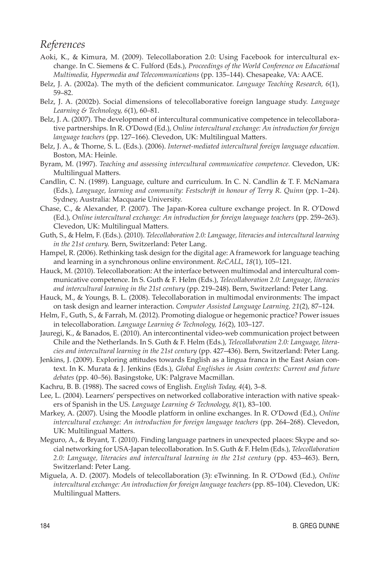### *References*

- Aoki, K., & Kimura, M. (2009). Telecollaboration 2.0: Using Facebook for intercultural exchange. In C. Siemens & C. Fulford (Eds.), *Proceedings of the World Conference on Educational Multimedia, Hypermedia and Telecommunications* (pp. 135–144). Chesapeake, VA: AACE.
- Belz, J. A. (2002a). The myth of the deficient communicator. *Language Teaching Research, 6*(1), 59–82.
- Belz, J. A. (2002b). Social dimensions of telecollaborative foreign language study. *Language Learning & Technology, 6*(1), 60–81.
- Belz, J. A. (2007). The development of intercultural communicative competence in telecollaborative partnerships. In R. O'Dowd (Ed.), *Online intercultural exchange: An introduction for foreign language teachers* (pp. 127–166). Clevedon, UK: Multilingual Matters.
- Belz, J. A., & Thorne, S. L. (Eds.). (2006). *Internet-mediated intercultural foreign language education.*  Boston, MA: Heinle.
- Byram, M. (1997). *Teaching and assessing intercultural communicative competence.* Clevedon, UK: Multilingual Matters.
- Candlin, C. N. (1989). Language, culture and curriculum. In C. N. Candlin & T. F. McNamara (Eds.), *Language, learning and community: Festschrift in honour of Terry R. Quinn* (pp. 1–24). Sydney, Australia: Macquarie University.
- Chase, C., & Alexander, P. (2007). The Japan-Korea culture exchange project. In R. O'Dowd (Ed.), *Online intercultural exchange: An introduction for foreign language teachers* (pp. 259–263). Clevedon, UK: Multilingual Matters.
- Guth, S., & Helm, F. (Eds.). (2010). *Telecollaboration 2.0: Language, literacies and intercultural learning in the 21st century.* Bern, Switzerland: Peter Lang.
- Hampel, R. (2006). Rethinking task design for the digital age: A framework for language teaching and learning in a synchronous online environment. *ReCALL, 18*(1), 105–121.
- Hauck, M. (2010). Telecollaboration: At the interface between multimodal and intercultural communicative competence. In S. Guth & F. Helm (Eds.), *Telecollaboration 2.0: Language, literacies and intercultural learning in the 21st century* (pp. 219–248). Bern, Switzerland: Peter Lang.
- Hauck, M., & Youngs, B. L. (2008). Telecollaboration in multimodal environments: The impact on task design and learner interaction. *Computer Assisted Language Learning, 21*(2), 87–124.
- Helm, F., Guth, S., & Farrah, M. (2012). Promoting dialogue or hegemonic practice? Power issues in telecollaboration. *Language Learning & Technology, 16*(2), 103–127.
- Jauregi, K., & Banados, E. (2010). An intercontinental video-web communication project between Chile and the Netherlands. In S. Guth & F. Helm (Eds.), *Telecollaboration 2.0: Language, literacies and intercultural learning in the 21st century* (pp. 427–436). Bern, Switzerland: Peter Lang.
- Jenkins, J. (2009). Exploring attitudes towards English as a lingua franca in the East Asian context. In K. Murata & J. Jenkins (Eds.), *Global Englishes in Asian contexts: Current and future debates* (pp. 40–56). Basingstoke, UK: Palgrave Macmillan.
- Kachru, B. B. (1988). The sacred cows of English. *English Today, 4*(4), 3–8.
- Lee, L. (2004). Learners' perspectives on networked collaborative interaction with native speakers of Spanish in the US. *Language Learning & Technology, 8*(1), 83–100.
- Markey, A. (2007). Using the Moodle platform in online exchanges. In R. O'Dowd (Ed.), *Online intercultural exchange: An introduction for foreign language teachers (pp. 264–268). Clevedon,* UK: Multilingual Matters.
- Meguro, A., & Bryant, T. (2010). Finding language partners in unexpected places: Skype and social networking for USA-Japan telecollaboration. In S. Guth & F. Helm (Eds.), *Telecollaboration 2.0: Language, literacies and intercultural learning in the 21st century* (pp. 453–463). Bern, Switzerland: Peter Lang.
- Miguela, A. D. (2007). Models of telecollaboration (3): eTwinning. In R. O'Dowd (Ed.), *Online intercultural exchange: An introduction for foreign language teachers (pp. 85-104). Clevedon, UK:* Multilingual Matters.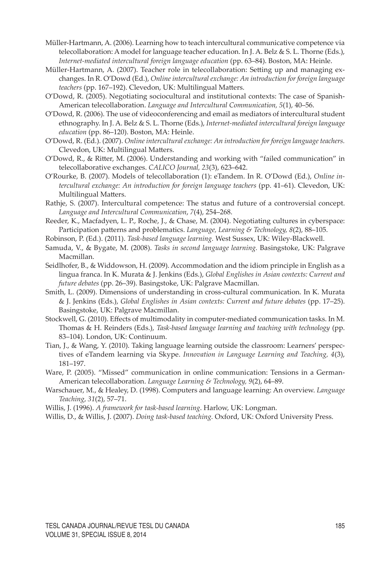- Müller-Hartmann, A. (2006). Learning how to teach intercultural communicative competence via telecollaboration: A model for language teacher education. In J. A. Belz & S. L. Thorne (Eds.), *Internet-mediated intercultural foreign language education* (pp. 63–84). Boston, MA: Heinle.
- Müller-Hartmann, A. (2007). Teacher role in telecollaboration: Setting up and managing exchanges. In R. O'Dowd (Ed.), *Online intercultural exchange: An introduction for foreign language teachers* (pp. 167–192). Clevedon, UK: Multilingual Matters.
- O'Dowd, R. (2005). Negotiating sociocultural and institutional contexts: The case of Spanish-American telecollaboration. *Language and Intercultural Communication, 5*(1), 40–56.
- O'Dowd, R. (2006). The use of videoconferencing and email as mediators of intercultural student ethnography. In J. A. Belz & S. L. Thorne (Eds.), *Internet-mediated intercultural foreign language education* (pp. 86–120). Boston, MA: Heinle.
- O'Dowd, R. (Ed.). (2007). *Online intercultural exchange: An introduction for foreign language teachers.*  Clevedon, UK: Multilingual Matters.
- O'Dowd, R., & Ritter, M. (2006). Understanding and working with "failed communication" in telecollaborative exchanges. *CALICO Journal, 23*(3), 623–642.
- O'Rourke, B. (2007). Models of telecollaboration (1): eTandem. In R. O'Dowd (Ed.), *Online intercultural exchange: An introduction for foreign language teachers* (pp. 41–61). Clevedon, UK: Multilingual Matters.
- Rathje, S. (2007). Intercultural competence: The status and future of a controversial concept. *Language and Intercultural Communication*, *7*(4), 254–268.
- Reeder, K., Macfadyen, L. P., Roche, J., & Chase, M. (2004). Negotiating cultures in cyberspace: Participation patterns and problematics. *Language, Learning & Technology, 8*(2), 88–105.
- Robinson, P. (Ed.). (2011). *Task-based language learning.* West Sussex, UK: Wiley-Blackwell.
- Samuda, V., & Bygate, M. (2008). *Tasks in second language learning.* Basingstoke, UK: Palgrave Macmillan.
- Seidlhofer, B., & Widdowson, H. (2009). Accommodation and the idiom principle in English as a lingua franca. In K. Murata & J. Jenkins (Eds.), *Global Englishes in Asian contexts: Current and future debates* (pp. 26–39). Basingstoke, UK: Palgrave Macmillan.
- Smith, L. (2009). Dimensions of understanding in cross-cultural communication. In K. Murata & J. Jenkins (Eds.), *Global Englishes in Asian contexts: Current and future debates* (pp. 17–25). Basingstoke, UK: Palgrave Macmillan.
- Stockwell, G. (2010). Effects of multimodality in computer-mediated communication tasks. In M. Thomas & H. Reinders (Eds.), *Task-based language learning and teaching with technology* (pp. 83–104). London, UK: Continuum.
- Tian, J., & Wang, Y. (2010). Taking language learning outside the classroom: Learners' perspectives of eTandem learning via Skype. *Innovation in Language Learning and Teaching, 4*(3), 181–197.
- Ware, P. (2005). "Missed" communication in online communication: Tensions in a German-American telecollaboration. *Language Learning & Technology, 9*(2), 64–89.
- Warschauer, M., & Healey, D. (1998). Computers and language learning: An overview. *Language Teaching*, *31*(2), 57–71.
- Willis, J. (1996). *A framework for task-based learning*. Harlow, UK: Longman.
- Willis, D., & Willis, J. (2007). *Doing task-based teaching.* Oxford, UK: Oxford University Press.